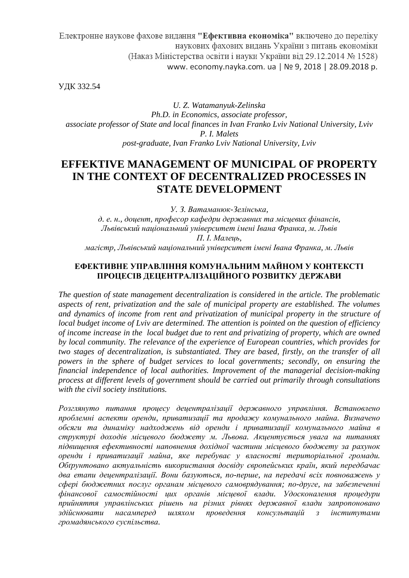Електронне наукове фахове видання "Ефективна економіка" включено до переліку наукових фахових видань України з питань економіки (Наказ Міністерства освіти і науки України від 29.12.2014 № 1528) www. economy.nayka.com. ua | № 9, 2018 | 28.09.2018 p.

УДК 332.54

*U. Z. Watamanyuk-Zelinska Ph.D. in Economics, associate professor, associate professor of State and local finances in Ivan Franko Lviv National University, Lviv P. I. Malets рost-graduate, Ivan Franko Lviv National University, Lviv* 

# **EFFEKTIVE MANAGEMENT OF MUNICIPAL OF PROPERTY IN THE CONTEXT OF DECENTRALIZED PROCESSES IN STATE DEVELOPMENT**

*У. З. Ватаманюк-Зелінська,* 

*д. е. н., доцент, професор кафедри державних та місцевих фінансів, Львівський національний університет імені Івана Франка, м. Львів П. І. Малець,* 

*магістр, Львівський національний університет імені Івана Франка, м. Львів*

## **ЕФЕКТИВНЕ УПРАВЛІННЯ КОМУНАЛЬНИМ МАЙНОМ У КОНТЕКСТІ ПРОЦЕСІВ ДЕЦЕНТРАЛІЗАЦІЙНОГО РОЗВИТКУ ДЕРЖАВИ**

*The question of state management decentralization is considered in the article. The problematic aspects of rent, privatization and the sale of municipal property are established. The volumes and dynamics of income from rent and privatization of municipal property in the structure of local budget income of Lviv are determined. The attention is pointed on the question of efficiency of income increase in the local budget due to rent and privatizing of property, which are owned by local community. The relevance of the experience of European countries, which provides for two stages of decentralization, is substantiated. They are based, firstly, on the transfer of all powers in the sphere of budget services to local governments; secondly, on ensuring the financial independence of local authorities. Improvement of the managerial decision-making process at different levels of government should be carried out primarily through consultations with the civil society institutions.* 

*Розглянуто питання процесу децентралізації державного управління. Встановлено проблемні аспекти оренди, приватизації та продажу комунального майна. Визначено обсяги та динаміку надходжень від оренди і приватизації комунального майна в структурі доходів місцевого бюджету м. Львова. Акцентується увага на питаннях підвищення ефективності наповнення дохідної частини місцевого бюджету за рахунок оренди і приватизації майна, яке перебуває у власності територіальної громади. Обґрунтовано актуальність використання досвіду європейських країн, який передбачає два етапи децентралізації. Вони базуються, по-перше, на передачі всіх повноважень у сфері бюджетних послуг органам місцевого самоврядування; по-друге, на забезпеченні фінансової самостійності цих органів місцевої влади. Удосконалення процедури прийняття управлінських рішень на різних рівнях державної влади запропоновано здійснювати насамперед шляхом проведення консультацій з інститутами громадянського суспільства.*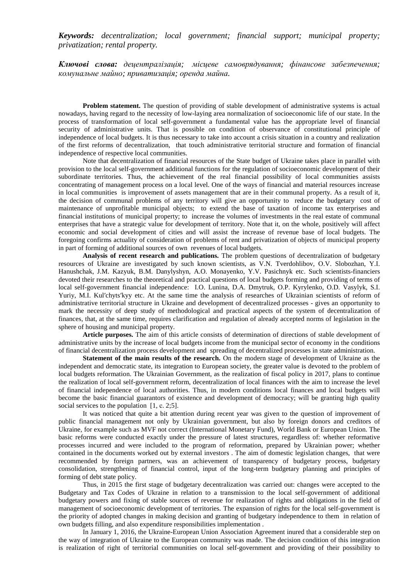*Keywords: decentralization; local government; financial support; municipal property; privatization; rental property.* 

*Ключові слова: децентралізація; місцеве самоврядування; фінансове забезпечення; комунальне майно; приватизація; оренда майна.* 

**Problem statement.** The question of providing of stable development of administrative systems is actual nowadays, having regard to the necessity of low-laying area normalization of socioeconomic life of our state. In the process of transformation of local self-government a fundamental value has the appropriate level of financial security of administrative units. That is possible on condition of observance of constitutional principle of independence of local budgets. It is thus necessary to take into account a crisis situation in a country and realization of the first reforms of decentralization, that touch administrative territorial structure and formation of financial independence of respective local communities.

Note that decentralization of financial resources of the State budget of Ukraine takes place in parallel with provision to the local self-government additional functions for the regulation of socioeconomic development of their subordinate territories. Thus, the achievement of the real financial possibility of local communities assists concentrating of management process on a local level. One of the ways of financial and material resources increase in local communities is improvement of assets management that are in their communal property. As a result of it, the decision of communal problems of any territory will give an opportunity to reduce the budgetary cost of maintenance of unprofitable municipal objects; to extend the base of taxation of income tax enterprises and financial institutions of municipal property; to increase the volumes of investments in the real estate of communal enterprises that have a strategic value for development of territory. Note that it, on the whole, positively will affect economic and social development of cities and will assist the increase of revenue base of local budgets. The foregoing confirms actuality of consideration of problems of rent and privatization of objects of municipal property in part of forming of additional sources of own revenues of local budgets.

**Analysis of recent research and publications.** The problem questions of decentralization of budgetary resources of Ukraine are investigated by such known scientists, as V.N. Tverdohlibov, О.V. Slobozhan, Y.I. Hanushchak, J.M. Kazyuk, B.M. Danylyshyn, A.O. Monayenko, Y.V. Pasichnyk etc. Such scientists-financiers devoted their researches to the theoretical and practical questions of local budgets forming and providing of terms of local self-government financial independence: I.O. Lunina, D.A. Dmytruk, O.P. Kyrylenko, O.D. Vasylyk, S.I. Yuriy, M.I. Kul'chyts'kyy etc. At the same time the analysis of researches of Ukrainian scientists of reform of administrative territorial structure in Ukraine and development of decentralized processes - gives an opportunity to mark the necessity of deep study of methodological and practical aspects of the system of decentralization of finances, that, at the same time, requires clarification and regulation of already accepted norms of legislation in the sphere of housing and municipal property.

**Article purposes.** The aim of this article consists of determination of directions of stable development of administrative units by the increase of local budgets income from the municipal sector of economy in the conditions of financial decentralization process development and spreading of decentralized processes in state administration.

**Statement of the main results of the research.** On the modern stage of development of Ukraine as the independent and democratic state, its integration to European society, the greater value is devoted to the problem of local budgets reformation. The Ukrainian Government, as the realization of fiscal policy in 2017, plans to continue the realization of local self-government reform, decentralization of local finances with the aim to increase the level of financial independence of local authorities. Thus, in modern conditions local finances and local budgets will become the basic financial guarantors of existence and development of democracy; will be granting high quality social services to the population [1, c. 2;5].

It was noticed that quite a bit attention during recent year was given to the question of improvement of public financial management not only by Ukrainian government, but also by foreign donors and creditors of Ukraine, for example such as MVF not correct (International Monetary Fund), World Bank or European Union. The basic reforms were conducted exactly under the pressure of latest structures, regardless of: whether reformative processes incurred and were included to the program of reformation, prepared by Ukrainian power; whether contained in the documents worked out by external investors . The aim of domestic legislation changes, that were recommended by foreign partners, was an achievement of transparency of budgetary process, budgetary consolidation, strengthening of financial control, input of the long-term budgetary planning and principles of forming of debt state policy.

Thus, in 2015 the first stage of budgetary decentralization was carried out: changes were accepted to the Budgetary and Tax Codes of Ukraine in relation to a transmission to the local self-government of additional budgetary powers and fixing of stable sources of revenue for realization of rights and obligations in the field of management of socioeconomic development of territories. The expansion of rights for the local self-government is the priority of adopted changes in making decision and granting of budgetary independence to them in relation of own budgets filling, and also expenditure responsibilities implementation .

In January 1, 2016, the Ukraine-European Union Association Agreement inured that a considerable step on the way of integration of Ukraine to the European community was made. The decision condition of this integration is realization of right of territorial communities on local self-government and providing of their possibility to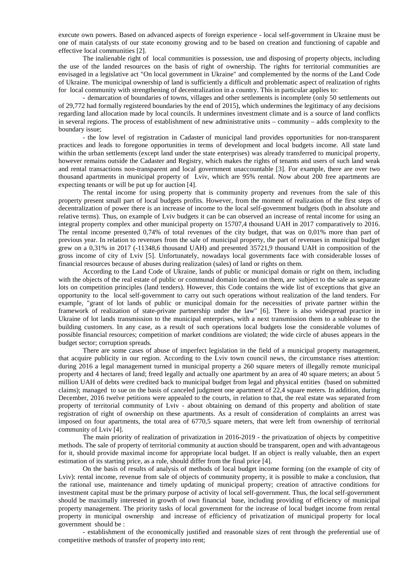execute own powers. Based on advanced aspects of foreign experience - local self-government in Ukraine must be one of main catalysts of our state economy growing and to be based on creation and functioning of capable and effective local communities [2].

The inalienable right of local communities is possession, use and disposing of property objects, including the use of the landed resources on the basis of right of ownership. The rights for territorial communities are envisaged in a legislative act "On local government in Ukraine" and complemented by the norms of the Land Code of Ukraine. The municipal ownership of land is sufficiently a difficult and problematic aspect of realization of rights for local community with strengthening of decentralization in a country. This in particular applies to:

- demarcation of boundaries of towns, villages and other settlements is incomplete (only 50 settlements out of 29,772 had formally registered boundaries by the end of 2015), which undermines the legitimacy of any decisions regarding land allocation made by local councils. It undermines investment climate and is a source of land conflicts in several regions. The process of establishment of new administrative units – community – adds complexity to the boundary issue;

- the low level of registration in Cadaster of municipal land provides opportunities for non-transparent practices and leads to foregone opportunities in terms of development and local budgets income. All state land within the urban settlements (except land under the state enterprises) was already transferred to municipal property, however remains outside the Cadaster and Registry, which makes the rights of tenants and users of such land weak and rental transactions non-transparent and local government unaccountable [3]. For example, there are over two thousand apartments in municipal property of Lviv, which are 95% rental. Now about 200 free apartments are expecting tenants or will be put up for auction [4].

The rental income for using property that is community property and revenues from the sale of this property present small part of local budgets profits. However, from the moment of realization of the first steps of decentralization of power there is an increase of income to the local self-government budgets (both in absolute and relative terms). Thus, on example of Lviv budgets it can be can observed an increase of rental income for using an integral property complex and other municipal property on 15707,4 thousand UAH in 2017 comparatively to 2016. The rental income presented 0,74% of total revenues of the city budget, that was on 0,01% more than part of previous year. In relation to revenues from the sale of municipal property, the part of revenues in municipal budget grew on a 0,31% in 2017 (-11348,6 thousand UAH) and presented 35721,9 thousand UAH in composition of the gross income of city of Lviv [5]. Unfortunately, nowadays local governments face with considerable losses of financial resources because of abuses during realization (sales) of land or rights on them.

According to the Land Code of Ukraine, lands of public or municipal domain or right on them, including with the objects of the real estate of public or communal domain located on them, are subject to the sale as separate lots on competition principles (land tenders). However, this Code contains the wide list of exceptions that give an opportunity to the local self-government to carry out such operations without realization of the land tenders. For example, "grant of lot lands of public or municipal domain for the necessities of private partner within the framework of realization of state-private partnership under the law" [6]. There is also widespread practice in Ukraine of lot lands transmission to the municipal enterprises, with a next transmission them to a sublease to the building customers. In any case, as a result of such operations local budgets lose the considerable volumes of possible financial resources; competition of market conditions are violated; the wide circle of abuses appears in the budget sector; corruption spreads.

There are some cases of abuse of imperfect legislation in the field of a municipal property management, that acquire publicity in our region. According to the Lviv town council news, the circumstance rises attention: during 2016 a legal management turned in municipal property a 260 square meters of illegally remote municipal property and 4 hectares of land; freed legally and actually one apartment by an area of 40 square meters; an about 5 million UAH of debts were credited back to municipal budget from legal and physical entities (based on submitted claims); managed to sue on the basis of canceled judgment one apartment of 22,4 square meters. In addition, during December, 2016 twelve petitions were appealed to the courts, in relation to that, the real estate was separated from property of territorial community of Lviv - about obtaining on demand of this property and abolition of state registration of right of ownership on these apartments. As a result of consideration of complaints an arrest was imposed on four apartments, the total area of 6770,5 square meters, that were left from ownership of territorial community of Lviv [4].

The main priority of realization of privatization in 2016-2019 - the privatization of objects by competitive methods. The sale of property of territorial community at auction should be transparent, open and with advantageous for it, should provide maximal income for appropriate local budget. If an object is really valuable, then an expert estimation of its starting price, as a rule, should differ from the final price [4].

On the basis of results of analysis of methods of local budget income forming (on the example of city of Lviv): rental income, revenue from sale of objects of community property, it is possible to make a conclusion, that the rational use, maintenance and timely updating of municipal property; creation of attractive conditions for investment capital must be the primary purpose of activity of local self-government. Thus, the local self-government should be maximally interested in growth of own financial base, including providing of efficiency of municipal property management. The priority tasks of local government for the increase of local budget income from rental property in municipal ownership and increase of efficiency of privatization of municipal property for local government should be :

- establishment of the economically justified and reasonable sizes of rent through the preferential use of competitive methods of transfer of property into rent;